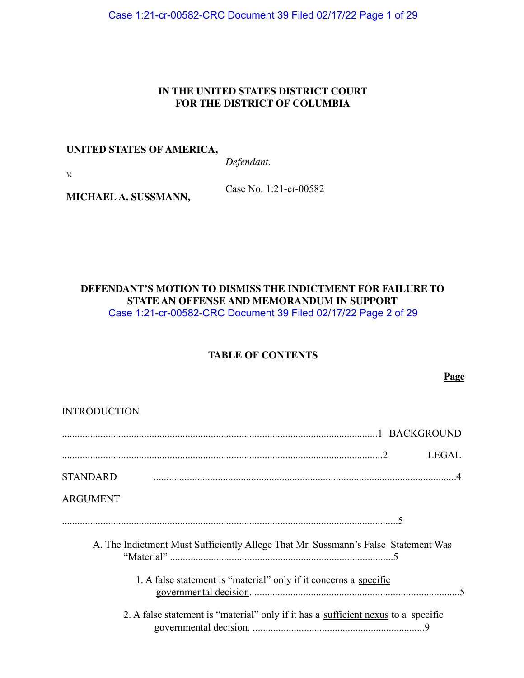Case 1:21-cr-00582-CRC Document 39 Filed 02/17/22 Page 1 of 29

## **IN THE UNITED STATES DISTRICT COURT FOR THE DISTRICT OF COLUMBIA**

#### **UNITED STATES OF AMERICA,**

**MICHAEL A. SUSSMANN,**

*Defendant*.

*v.*

Case No. 1:21-cr-00582

**DEFENDANT'S MOTION TO DISMISS THE INDICTMENT FOR FAILURE TO STATE AN OFFENSE AND MEMORANDUM IN SUPPORT** Case 1:21-cr-00582-CRC Document 39 Filed 02/17/22 Page 2 of 29

# **TABLE OF CONTENTS**

**Page**

| <b>INTRODUCTION</b>                                                                |
|------------------------------------------------------------------------------------|
|                                                                                    |
| <b>LEGAL</b>                                                                       |
| <b>STANDARD</b>                                                                    |
| <b>ARGUMENT</b>                                                                    |
|                                                                                    |
| A. The Indictment Must Sufficiently Allege That Mr. Sussmann's False Statement Was |
| 1. A false statement is "material" only if it concerns a specific                  |
| 2. A false statement is "material" only if it has a sufficient nexus to a specific |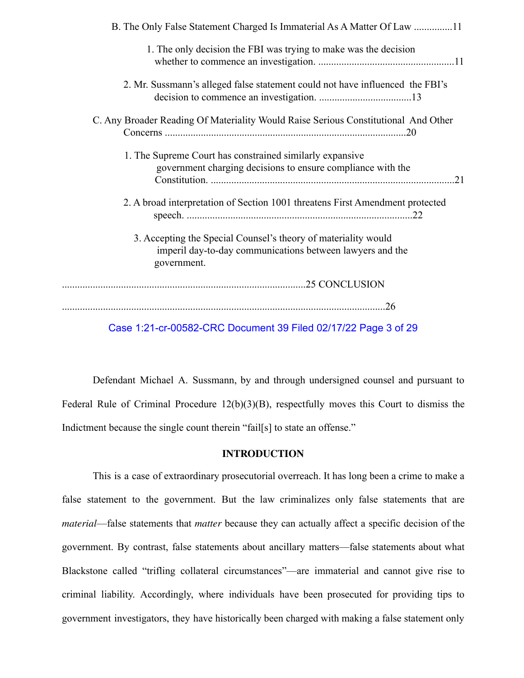| B. The Only False Statement Charged Is Immaterial As A Matter Of Law 11                                                                    |
|--------------------------------------------------------------------------------------------------------------------------------------------|
| 1. The only decision the FBI was trying to make was the decision                                                                           |
| 2. Mr. Sussmann's alleged false statement could not have influenced the FBI's                                                              |
| C. Any Broader Reading Of Materiality Would Raise Serious Constitutional And Other                                                         |
| 1. The Supreme Court has constrained similarly expansive<br>government charging decisions to ensure compliance with the                    |
| 2. A broad interpretation of Section 1001 threatens First Amendment protected                                                              |
| 3. Accepting the Special Counsel's theory of materiality would<br>imperil day-to-day communications between lawyers and the<br>government. |
|                                                                                                                                            |
| .26                                                                                                                                        |
|                                                                                                                                            |

Case 1:21-cr-00582-CRC Document 39 Filed 02/17/22 Page 3 of 29

Defendant Michael A. Sussmann, by and through undersigned counsel and pursuant to Federal Rule of Criminal Procedure 12(b)(3)(B), respectfully moves this Court to dismiss the Indictment because the single count therein "fail[s] to state an offense."

## **INTRODUCTION**

This is a case of extraordinary prosecutorial overreach. It has long been a crime to make a false statement to the government. But the law criminalizes only false statements that are *material*—false statements that *matter* because they can actually affect a specific decision of the government. By contrast, false statements about ancillary matters—false statements about what Blackstone called "trifling collateral circumstances"—are immaterial and cannot give rise to criminal liability. Accordingly, where individuals have been prosecuted for providing tips to government investigators, they have historically been charged with making a false statement only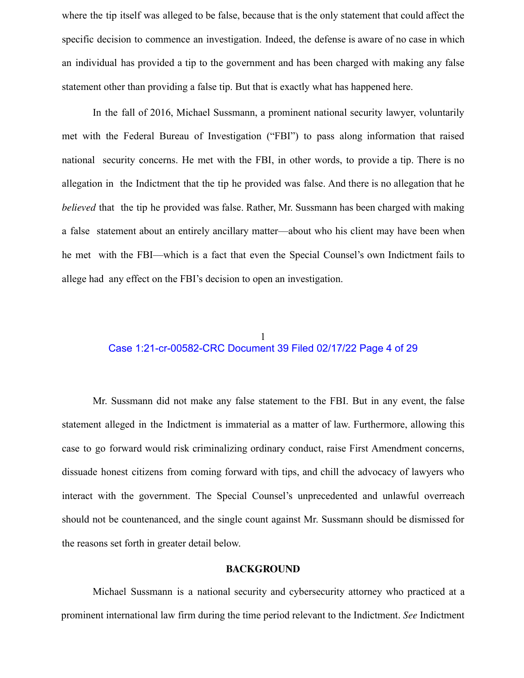where the tip itself was alleged to be false, because that is the only statement that could affect the specific decision to commence an investigation. Indeed, the defense is aware of no case in which an individual has provided a tip to the government and has been charged with making any false statement other than providing a false tip. But that is exactly what has happened here.

In the fall of 2016, Michael Sussmann, a prominent national security lawyer, voluntarily met with the Federal Bureau of Investigation ("FBI") to pass along information that raised national security concerns. He met with the FBI, in other words, to provide a tip. There is no allegation in the Indictment that the tip he provided was false. And there is no allegation that he *believed* that the tip he provided was false. Rather, Mr. Sussmann has been charged with making a false statement about an entirely ancillary matter—about who his client may have been when he met with the FBI—which is a fact that even the Special Counsel's own Indictment fails to allege had any effect on the FBI's decision to open an investigation.

## 1 Case 1:21-cr-00582-CRC Document 39 Filed 02/17/22 Page 4 of 29

Mr. Sussmann did not make any false statement to the FBI. But in any event, the false statement alleged in the Indictment is immaterial as a matter of law. Furthermore, allowing this case to go forward would risk criminalizing ordinary conduct, raise First Amendment concerns, dissuade honest citizens from coming forward with tips, and chill the advocacy of lawyers who interact with the government. The Special Counsel's unprecedented and unlawful overreach should not be countenanced, and the single count against Mr. Sussmann should be dismissed for the reasons set forth in greater detail below.

#### **BACKGROUND**

Michael Sussmann is a national security and cybersecurity attorney who practiced at a prominent international law firm during the time period relevant to the Indictment. *See* Indictment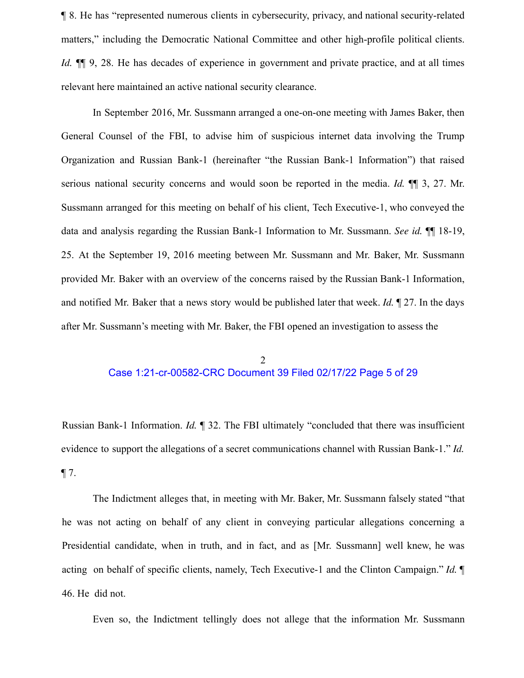¶ 8. He has "represented numerous clients in cybersecurity, privacy, and national security-related matters," including the Democratic National Committee and other high-profile political clients. *Id.*  $\P$  9, 28. He has decades of experience in government and private practice, and at all times relevant here maintained an active national security clearance.

In September 2016, Mr. Sussmann arranged a one-on-one meeting with James Baker, then General Counsel of the FBI, to advise him of suspicious internet data involving the Trump Organization and Russian Bank-1 (hereinafter "the Russian Bank-1 Information") that raised serious national security concerns and would soon be reported in the media. *Id.* ¶¶ 3, 27. Mr. Sussmann arranged for this meeting on behalf of his client, Tech Executive-1, who conveyed the data and analysis regarding the Russian Bank-1 Information to Mr. Sussmann. *See id.* ¶¶ 18-19, 25. At the September 19, 2016 meeting between Mr. Sussmann and Mr. Baker, Mr. Sussmann provided Mr. Baker with an overview of the concerns raised by the Russian Bank-1 Information, and notified Mr. Baker that a news story would be published later that week. *Id.* ¶ 27. In the days after Mr. Sussmann's meeting with Mr. Baker, the FBI opened an investigation to assess the

#### 2 Case 1:21-cr-00582-CRC Document 39 Filed 02/17/22 Page 5 of 29

Russian Bank-1 Information. *Id.* ¶ 32. The FBI ultimately "concluded that there was insufficient evidence to support the allegations of a secret communications channel with Russian Bank-1." *Id.*  $\P$  7.

The Indictment alleges that, in meeting with Mr. Baker, Mr. Sussmann falsely stated "that he was not acting on behalf of any client in conveying particular allegations concerning a Presidential candidate, when in truth, and in fact, and as [Mr. Sussmann] well knew, he was acting on behalf of specific clients, namely, Tech Executive-1 and the Clinton Campaign." *Id.* ¶ 46. He did not.

Even so, the Indictment tellingly does not allege that the information Mr. Sussmann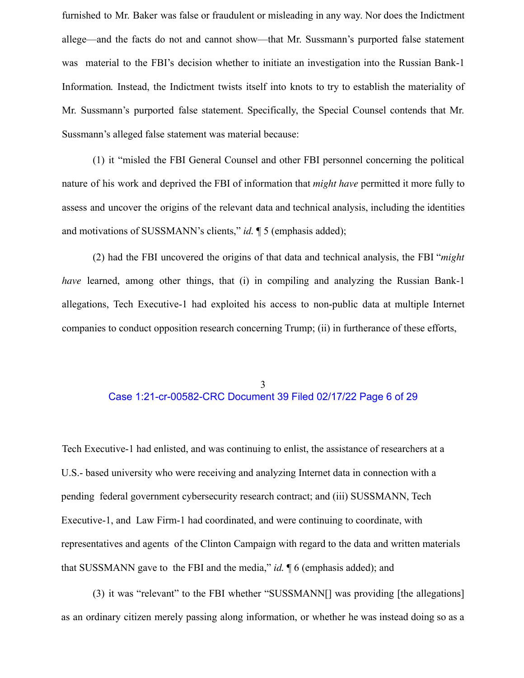furnished to Mr. Baker was false or fraudulent or misleading in any way. Nor does the Indictment allege—and the facts do not and cannot show—that Mr. Sussmann's purported false statement was material to the FBI's decision whether to initiate an investigation into the Russian Bank-1 Information*.* Instead, the Indictment twists itself into knots to try to establish the materiality of Mr. Sussmann's purported false statement. Specifically, the Special Counsel contends that Mr. Sussmann's alleged false statement was material because:

(1) it "misled the FBI General Counsel and other FBI personnel concerning the political nature of his work and deprived the FBI of information that *might have* permitted it more fully to assess and uncover the origins of the relevant data and technical analysis, including the identities and motivations of SUSSMANN's clients," *id.* ¶ 5 (emphasis added);

(2) had the FBI uncovered the origins of that data and technical analysis, the FBI "*might have* learned, among other things, that (i) in compiling and analyzing the Russian Bank-1 allegations, Tech Executive-1 had exploited his access to non-public data at multiple Internet companies to conduct opposition research concerning Trump; (ii) in furtherance of these efforts,

## 3 Case 1:21-cr-00582-CRC Document 39 Filed 02/17/22 Page 6 of 29

Tech Executive-1 had enlisted, and was continuing to enlist, the assistance of researchers at a U.S.- based university who were receiving and analyzing Internet data in connection with a pending federal government cybersecurity research contract; and (iii) SUSSMANN, Tech Executive-1, and Law Firm-1 had coordinated, and were continuing to coordinate, with representatives and agents of the Clinton Campaign with regard to the data and written materials that SUSSMANN gave to the FBI and the media," *id.* ¶ 6 (emphasis added); and

(3) it was "relevant" to the FBI whether "SUSSMANN[] was providing [the allegations] as an ordinary citizen merely passing along information, or whether he was instead doing so as a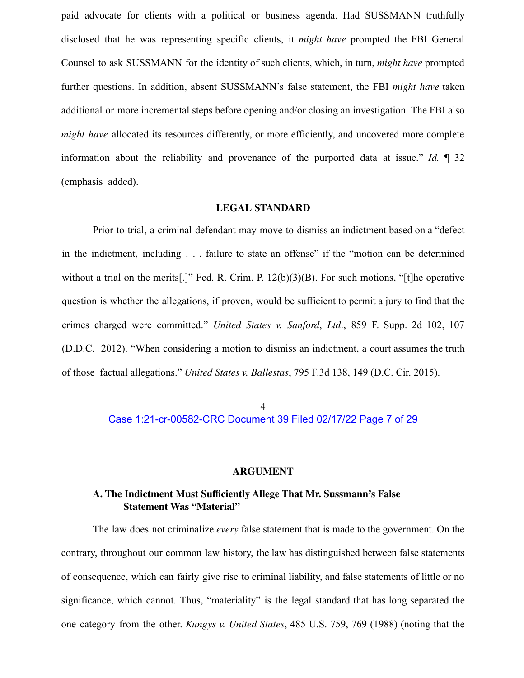paid advocate for clients with a political or business agenda. Had SUSSMANN truthfully disclosed that he was representing specific clients, it *might have* prompted the FBI General Counsel to ask SUSSMANN for the identity of such clients, which, in turn, *might have* prompted further questions. In addition, absent SUSSMANN's false statement, the FBI *might have* taken additional or more incremental steps before opening and/or closing an investigation. The FBI also *might have* allocated its resources differently, or more efficiently, and uncovered more complete information about the reliability and provenance of the purported data at issue." *Id.* ¶ 32 (emphasis added).

#### **LEGAL STANDARD**

Prior to trial, a criminal defendant may move to dismiss an indictment based on a "defect in the indictment, including . . . failure to state an offense" if the "motion can be determined without a trial on the merits[.]" Fed. R. Crim. P. 12(b)(3)(B). For such motions, "[t]he operative question is whether the allegations, if proven, would be sufficient to permit a jury to find that the crimes charged were committed." *United States v. Sanford*, *Ltd*., 859 F. Supp. 2d 102, 107 (D.D.C. 2012). "When considering a motion to dismiss an indictment, a court assumes the truth of those factual allegations." *United States v. Ballestas*, 795 F.3d 138, 149 (D.C. Cir. 2015).

> 4 Case 1:21-cr-00582-CRC Document 39 Filed 02/17/22 Page 7 of 29

#### **ARGUMENT**

# **A. The Indictment Must Sufficiently Allege That Mr. Sussmann's False Statement Was "Material"**

The law does not criminalize *every* false statement that is made to the government. On the contrary, throughout our common law history, the law has distinguished between false statements of consequence, which can fairly give rise to criminal liability, and false statements of little or no significance, which cannot. Thus, "materiality" is the legal standard that has long separated the one category from the other. *Kungys v. United States*, 485 U.S. 759, 769 (1988) (noting that the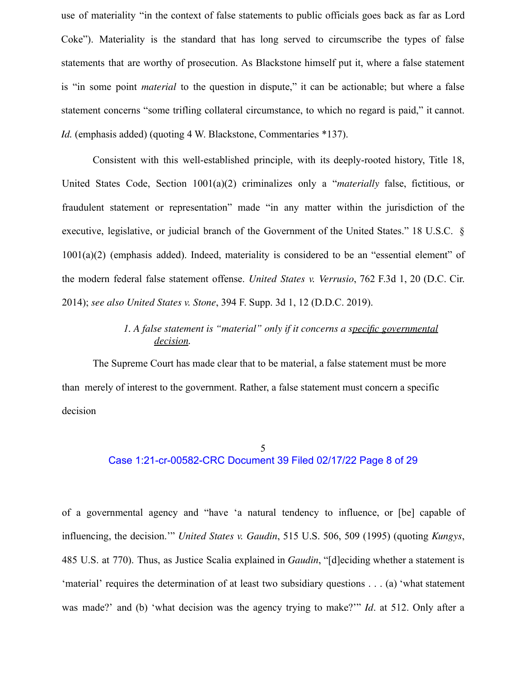use of materiality "in the context of false statements to public officials goes back as far as Lord Coke"). Materiality is the standard that has long served to circumscribe the types of false statements that are worthy of prosecution. As Blackstone himself put it, where a false statement is "in some point *material* to the question in dispute," it can be actionable; but where a false statement concerns "some trifling collateral circumstance, to which no regard is paid," it cannot. *Id.* (emphasis added) (quoting 4 W. Blackstone, Commentaries \*137).

Consistent with this well-established principle, with its deeply-rooted history, Title 18, United States Code, Section 1001(a)(2) criminalizes only a "*materially* false, fictitious, or fraudulent statement or representation" made "in any matter within the jurisdiction of the executive, legislative, or judicial branch of the Government of the United States." 18 U.S.C. § 1001(a)(2) (emphasis added). Indeed, materiality is considered to be an "essential element" of the modern federal false statement offense. *United States v. Verrusio*, 762 F.3d 1, 20 (D.C. Cir. 2014); *see also United States v. Stone*, 394 F. Supp. 3d 1, 12 (D.D.C. 2019).

# *1. A false statement is "material" only if it concerns a specific governmental decision.*

The Supreme Court has made clear that to be material, a false statement must be more than merely of interest to the government. Rather, a false statement must concern a specific decision

#### 5 Case 1:21-cr-00582-CRC Document 39 Filed 02/17/22 Page 8 of 29

of a governmental agency and "have 'a natural tendency to influence, or [be] capable of influencing, the decision.'" *United States v. Gaudin*, 515 U.S. 506, 509 (1995) (quoting *Kungys*, 485 U.S. at 770). Thus, as Justice Scalia explained in *Gaudin*, "[d]eciding whether a statement is 'material' requires the determination of at least two subsidiary questions . . . (a) 'what statement was made?' and (b) 'what decision was the agency trying to make?'" *Id*. at 512. Only after a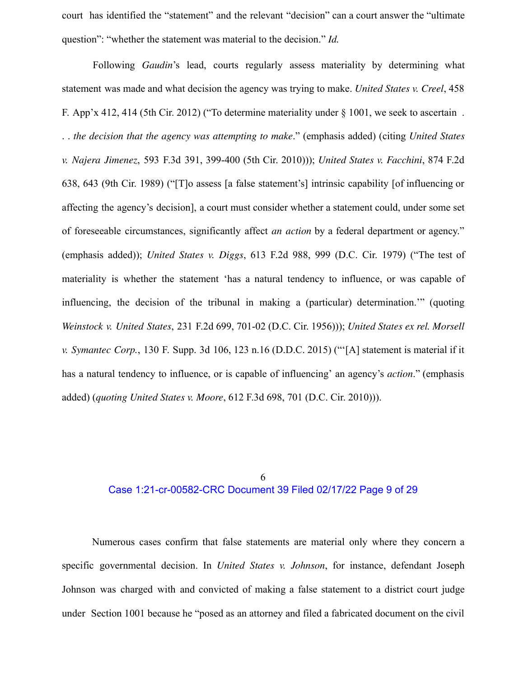court has identified the "statement" and the relevant "decision" can a court answer the "ultimate question": "whether the statement was material to the decision." *Id.*

Following *Gaudin*'s lead, courts regularly assess materiality by determining what statement was made and what decision the agency was trying to make. *United States v. Creel*, 458 F. App'x 412, 414 (5th Cir. 2012) ("To determine materiality under § 1001, we seek to ascertain . . . *the decision that the agency was attempting to make*." (emphasis added) (citing *United States v. Najera Jimenez*, 593 F.3d 391, 399-400 (5th Cir. 2010))); *United States v. Facchini*, 874 F.2d 638, 643 (9th Cir. 1989) ("[T]o assess [a false statement's] intrinsic capability [of influencing or affecting the agency's decision], a court must consider whether a statement could, under some set of foreseeable circumstances, significantly affect *an action* by a federal department or agency." (emphasis added)); *United States v. Diggs*, 613 F.2d 988, 999 (D.C. Cir. 1979) ("The test of materiality is whether the statement 'has a natural tendency to influence, or was capable of influencing, the decision of the tribunal in making a (particular) determination.'" (quoting *Weinstock v. United States*, 231 F.2d 699, 701-02 (D.C. Cir. 1956))); *United States ex rel. Morsell v. Symantec Corp.*, 130 F. Supp. 3d 106, 123 n.16 (D.D.C. 2015) ("'[A] statement is material if it has a natural tendency to influence, or is capable of influencing' an agency's *action*." (emphasis added) (*quoting United States v. Moore*, 612 F.3d 698, 701 (D.C. Cir. 2010))).

#### 6 Case 1:21-cr-00582-CRC Document 39 Filed 02/17/22 Page 9 of 29

Numerous cases confirm that false statements are material only where they concern a specific governmental decision. In *United States v. Johnson*, for instance, defendant Joseph Johnson was charged with and convicted of making a false statement to a district court judge under Section 1001 because he "posed as an attorney and filed a fabricated document on the civil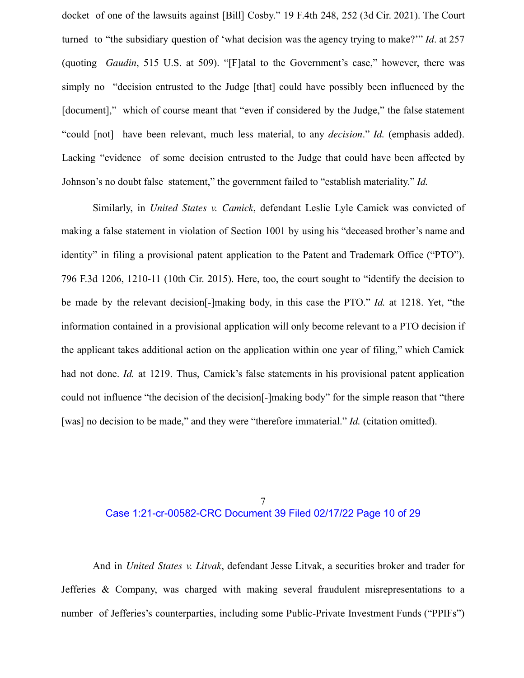docket of one of the lawsuits against [Bill] Cosby." 19 F.4th 248, 252 (3d Cir. 2021). The Court turned to "the subsidiary question of 'what decision was the agency trying to make?'" *Id*. at 257 (quoting *Gaudin*, 515 U.S. at 509). "[F]atal to the Government's case," however, there was simply no "decision entrusted to the Judge [that] could have possibly been influenced by the [document]," which of course meant that "even if considered by the Judge," the false statement "could [not] have been relevant, much less material, to any *decision*." *Id.* (emphasis added). Lacking "evidence of some decision entrusted to the Judge that could have been affected by Johnson's no doubt false statement," the government failed to "establish materiality." *Id.*

Similarly, in *United States v. Camick*, defendant Leslie Lyle Camick was convicted of making a false statement in violation of Section 1001 by using his "deceased brother's name and identity" in filing a provisional patent application to the Patent and Trademark Office ("PTO"). 796 F.3d 1206, 1210-11 (10th Cir. 2015). Here, too, the court sought to "identify the decision to be made by the relevant decision[-]making body, in this case the PTO." *Id.* at 1218. Yet, "the information contained in a provisional application will only become relevant to a PTO decision if the applicant takes additional action on the application within one year of filing," which Camick had not done. *Id.* at 1219. Thus, Camick's false statements in his provisional patent application could not influence "the decision of the decision[-]making body" for the simple reason that "there [was] no decision to be made," and they were "therefore immaterial." *Id.* (citation omitted).

#### 7 Case 1:21-cr-00582-CRC Document 39 Filed 02/17/22 Page 10 of 29

And in *United States v. Litvak*, defendant Jesse Litvak, a securities broker and trader for Jefferies & Company, was charged with making several fraudulent misrepresentations to a number of Jefferies's counterparties, including some Public-Private Investment Funds ("PPIFs")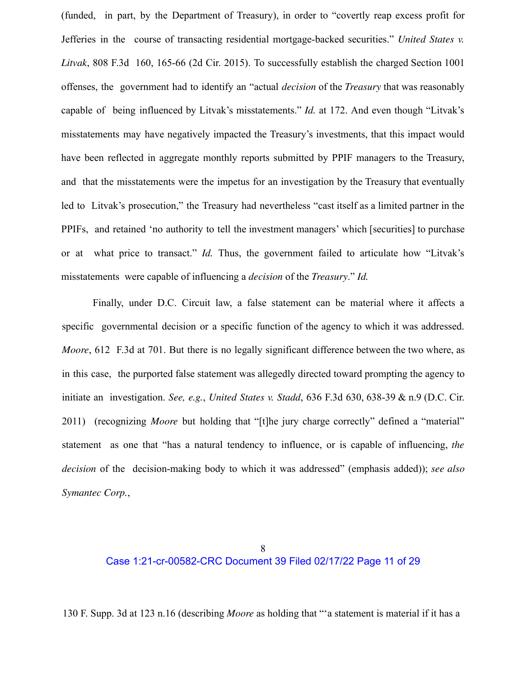(funded, in part, by the Department of Treasury), in order to "covertly reap excess profit for Jefferies in the course of transacting residential mortgage-backed securities." *United States v. Litvak*, 808 F.3d 160, 165-66 (2d Cir. 2015). To successfully establish the charged Section 1001 offenses, the government had to identify an "actual *decision* of the *Treasury* that was reasonably capable of being influenced by Litvak's misstatements." *Id.* at 172. And even though "Litvak's misstatements may have negatively impacted the Treasury's investments, that this impact would have been reflected in aggregate monthly reports submitted by PPIF managers to the Treasury, and that the misstatements were the impetus for an investigation by the Treasury that eventually led to Litvak's prosecution," the Treasury had nevertheless "cast itself as a limited partner in the PPIFs, and retained 'no authority to tell the investment managers' which [securities] to purchase or at what price to transact." *Id.* Thus, the government failed to articulate how "Litvak's misstatements were capable of influencing a *decision* of the *Treasury*." *Id.*

Finally, under D.C. Circuit law, a false statement can be material where it affects a specific governmental decision or a specific function of the agency to which it was addressed. *Moore*, 612 F.3d at 701. But there is no legally significant difference between the two where, as in this case, the purported false statement was allegedly directed toward prompting the agency to initiate an investigation. *See, e.g.*, *United States v. Stadd*, 636 F.3d 630, 638-39 & n.9 (D.C. Cir. 2011) (recognizing *Moore* but holding that "[t]he jury charge correctly" defined a "material" statement as one that "has a natural tendency to influence, or is capable of influencing, *the decision* of the decision-making body to which it was addressed" (emphasis added)); *see also Symantec Corp.*,

# Case 1:21-cr-00582-CRC Document 39 Filed 02/17/22 Page 11 of 29

130 F. Supp. 3d at 123 n.16 (describing *Moore* as holding that "'a statement is material if it has a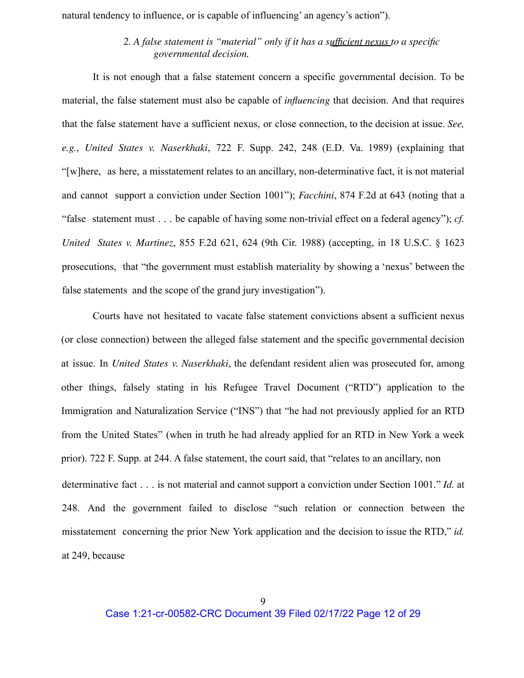natural tendency to influence, or is capable of influencing' an agency's action").

## *2. A false statement is "material" only if it has a sufficient nexus to a specific governmental decision.*

It is not enough that a false statement concern a specific governmental decision. To be material, the false statement must also be capable of *influencing* that decision. And that requires that the false statement have a sufficient nexus, or close connection, to the decision at issue. *See, e.g.*, *United States v. Naserkhaki*, 722 F. Supp. 242, 248 (E.D. Va. 1989) (explaining that "[w]here, as here, a misstatement relates to an ancillary, non-determinative fact, it is not material and cannot support a conviction under Section 1001"); *Facchini*, 874 F.2d at 643 (noting that a "false statement must . . . be capable of having some non-trivial effect on a federal agency"); *cf. United States v. Martinez*, 855 F.2d 621, 624 (9th Cir. 1988) (accepting, in 18 U.S.C. § 1623 prosecutions, that "the government must establish materiality by showing a 'nexus' between the false statements and the scope of the grand jury investigation").

Courts have not hesitated to vacate false statement convictions absent a sufficient nexus (or close connection) between the alleged false statement and the specific governmental decision at issue. In *United States v. Naserkhaki*, the defendant resident alien was prosecuted for, among other things, falsely stating in his Refugee Travel Document ("RTD") application to the Immigration and Naturalization Service ("INS") that "he had not previously applied for an RTD from the United States" (when in truth he had already applied for an RTD in New York a week prior). 722 F. Supp. at 244. A false statement, the court said, that "relates to an ancillary, non determinative fact . . . is not material and cannot support a conviction under Section 1001." *Id.* at 248. And the government failed to disclose "such relation or connection between the misstatement concerning the prior New York application and the decision to issue the RTD," *id.* at 249, because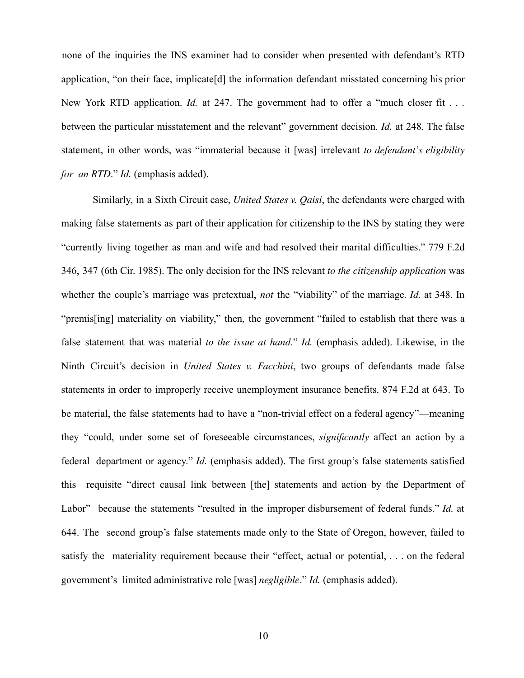none of the inquiries the INS examiner had to consider when presented with defendant's RTD application, "on their face, implicate[d] the information defendant misstated concerning his prior New York RTD application. *Id.* at 247. The government had to offer a "much closer fit... between the particular misstatement and the relevant" government decision. *Id.* at 248*.* The false statement, in other words, was "immaterial because it [was] irrelevant *to defendant's eligibility for an RTD*." *Id.* (emphasis added).

Similarly, in a Sixth Circuit case, *United States v. Qaisi*, the defendants were charged with making false statements as part of their application for citizenship to the INS by stating they were "currently living together as man and wife and had resolved their marital difficulties." 779 F.2d 346, 347 (6th Cir. 1985). The only decision for the INS relevant *to the citizenship application* was whether the couple's marriage was pretextual, *not* the "viability" of the marriage. *Id.* at 348. In "premis[ing] materiality on viability," then, the government "failed to establish that there was a false statement that was material *to the issue at hand*." *Id.* (emphasis added). Likewise, in the Ninth Circuit's decision in *United States v. Facchini*, two groups of defendants made false statements in order to improperly receive unemployment insurance benefits. 874 F.2d at 643. To be material, the false statements had to have a "non-trivial effect on a federal agency"—meaning they "could, under some set of foreseeable circumstances, *significantly* affect an action by a federal department or agency." *Id.* (emphasis added). The first group's false statements satisfied this requisite "direct causal link between [the] statements and action by the Department of Labor" because the statements "resulted in the improper disbursement of federal funds." *Id.* at 644. The second group's false statements made only to the State of Oregon, however, failed to satisfy the materiality requirement because their "effect, actual or potential, . . . on the federal government's limited administrative role [was] *negligible*." *Id.* (emphasis added).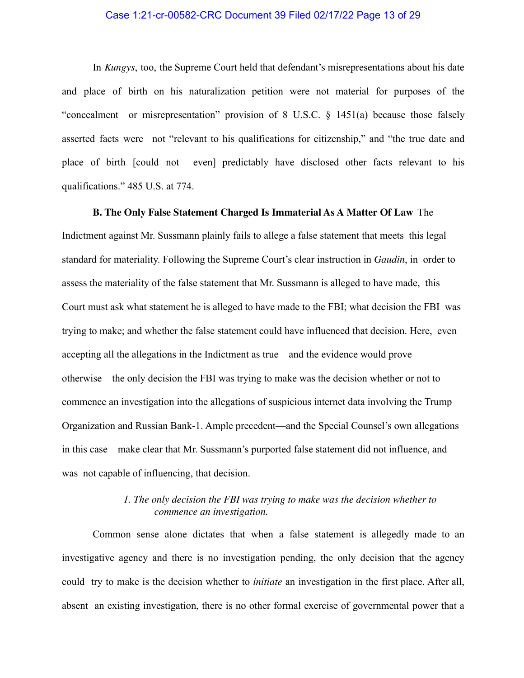## Case 1:21-cr-00582-CRC Document 39 Filed 02/17/22 Page 13 of 29

In *Kungys*, too, the Supreme Court held that defendant's misrepresentations about his date and place of birth on his naturalization petition were not material for purposes of the "concealment or misrepresentation" provision of 8 U.S.C. § 1451(a) because those falsely asserted facts were not "relevant to his qualifications for citizenship," and "the true date and place of birth [could not even] predictably have disclosed other facts relevant to his qualifications." 485 U.S. at 774.

#### **B. The Only False Statement Charged Is Immaterial As A Matter Of Law** The

Indictment against Mr. Sussmann plainly fails to allege a false statement that meets this legal standard for materiality. Following the Supreme Court's clear instruction in *Gaudin*, in order to assess the materiality of the false statement that Mr. Sussmann is alleged to have made, this Court must ask what statement he is alleged to have made to the FBI; what decision the FBI was trying to make; and whether the false statement could have influenced that decision. Here, even accepting all the allegations in the Indictment as true—and the evidence would prove otherwise—the only decision the FBI was trying to make was the decision whether or not to commence an investigation into the allegations of suspicious internet data involving the Trump Organization and Russian Bank-1. Ample precedent—and the Special Counsel's own allegations in this case—make clear that Mr. Sussmann's purported false statement did not influence, and was not capable of influencing, that decision.

## *1. The only decision the FBI was trying to make was the decision whether to commence an investigation.*

Common sense alone dictates that when a false statement is allegedly made to an investigative agency and there is no investigation pending, the only decision that the agency could try to make is the decision whether to *initiate* an investigation in the first place. After all, absent an existing investigation, there is no other formal exercise of governmental power that a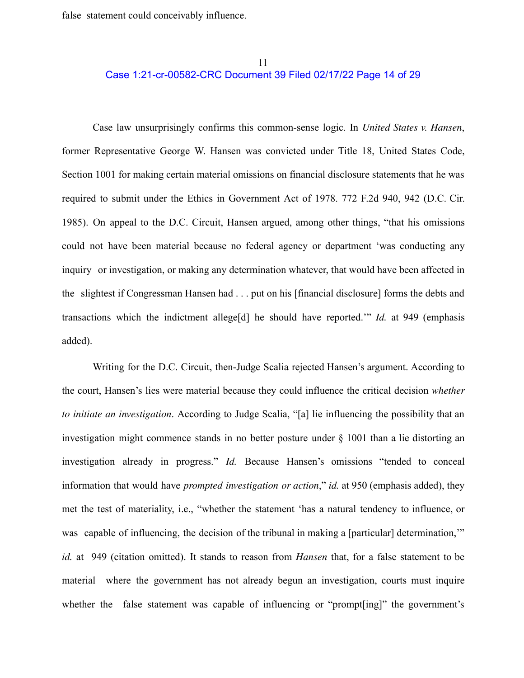false statement could conceivably influence.

## 11 Case 1:21-cr-00582-CRC Document 39 Filed 02/17/22 Page 14 of 29

Case law unsurprisingly confirms this common-sense logic. In *United States v. Hansen*, former Representative George W. Hansen was convicted under Title 18, United States Code, Section 1001 for making certain material omissions on financial disclosure statements that he was required to submit under the Ethics in Government Act of 1978. 772 F.2d 940, 942 (D.C. Cir. 1985). On appeal to the D.C. Circuit, Hansen argued, among other things, "that his omissions could not have been material because no federal agency or department 'was conducting any inquiry or investigation, or making any determination whatever, that would have been affected in the slightest if Congressman Hansen had . . . put on his [financial disclosure] forms the debts and transactions which the indictment allege[d] he should have reported.'" *Id.* at 949 (emphasis added).

Writing for the D.C. Circuit, then-Judge Scalia rejected Hansen's argument. According to the court, Hansen's lies were material because they could influence the critical decision *whether to initiate an investigation*. According to Judge Scalia, "[a] lie influencing the possibility that an investigation might commence stands in no better posture under § 1001 than a lie distorting an investigation already in progress." *Id.* Because Hansen's omissions "tended to conceal information that would have *prompted investigation or action*," *id.* at 950 (emphasis added), they met the test of materiality, i.e., "whether the statement 'has a natural tendency to influence, or was capable of influencing, the decision of the tribunal in making a [particular] determination," *id.* at 949 (citation omitted). It stands to reason from *Hansen* that, for a false statement to be material where the government has not already begun an investigation, courts must inquire whether the false statement was capable of influencing or "prompt [ing]" the government's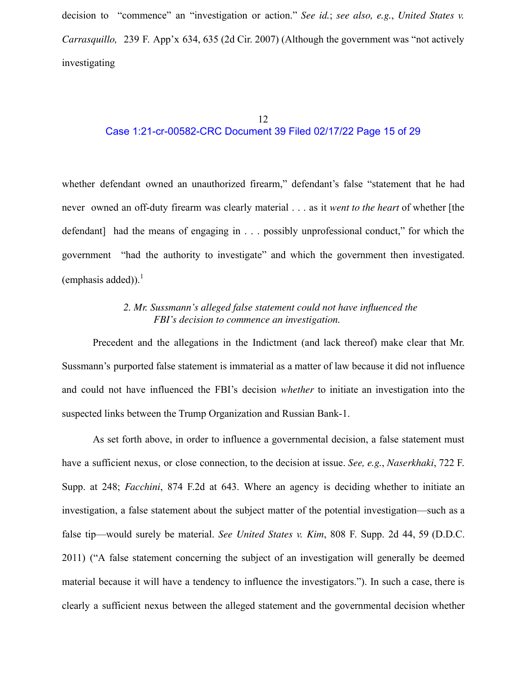decision to "commence" an "investigation or action." *See id.*; *see also, e.g.*, *United States v. Carrasquillo,* 239 F. App'x 634, 635 (2d Cir. 2007) (Although the government was "not actively investigating

## 12 Case 1:21-cr-00582-CRC Document 39 Filed 02/17/22 Page 15 of 29

whether defendant owned an unauthorized firearm," defendant's false "statement that he had never owned an off-duty firearm was clearly material . . . as it *went to the heart* of whether [the defendant] had the means of engaging in . . . possibly unprofessional conduct," for which the government "had the authority to investigate" and which the government then investigated. (emphasis added)). $<sup>1</sup>$ </sup>

# *2. Mr. Sussmann's alleged false statement could not have influenced the FBI's decision to commence an investigation.*

Precedent and the allegations in the Indictment (and lack thereof) make clear that Mr. Sussmann's purported false statement is immaterial as a matter of law because it did not influence and could not have influenced the FBI's decision *whether* to initiate an investigation into the suspected links between the Trump Organization and Russian Bank-1.

As set forth above, in order to influence a governmental decision, a false statement must have a sufficient nexus, or close connection, to the decision at issue. *See, e.g.*, *Naserkhaki*, 722 F. Supp. at 248; *Facchini*, 874 F.2d at 643. Where an agency is deciding whether to initiate an investigation, a false statement about the subject matter of the potential investigation—such as a false tip—would surely be material. *See United States v. Kim*, 808 F. Supp. 2d 44, 59 (D.D.C. 2011) ("A false statement concerning the subject of an investigation will generally be deemed material because it will have a tendency to influence the investigators."). In such a case, there is clearly a sufficient nexus between the alleged statement and the governmental decision whether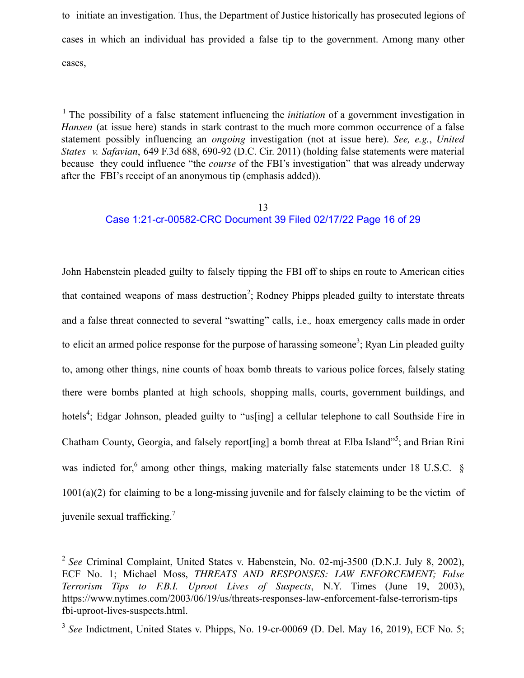to initiate an investigation. Thus, the Department of Justice historically has prosecuted legions of cases in which an individual has provided a false tip to the government. Among many other cases,

<sup>1</sup> The possibility of a false statement influencing the *initiation* of a government investigation in *Hansen* (at issue here) stands in stark contrast to the much more common occurrence of a false statement possibly influencing an *ongoing* investigation (not at issue here). *See, e.g.*, *United States v. Safavian*, 649 F.3d 688, 690-92 (D.C. Cir. 2011) (holding false statements were material because they could influence "the *course* of the FBI's investigation" that was already underway after the FBI's receipt of an anonymous tip (emphasis added)).

# 13 Case 1:21-cr-00582-CRC Document 39 Filed 02/17/22 Page 16 of 29

John Habenstein pleaded guilty to falsely tipping the FBI off to ships en route to American cities that contained weapons of mass destruction<sup>2</sup>; Rodney Phipps pleaded guilty to interstate threats and a false threat connected to several "swatting" calls, i.e.*,* hoax emergency calls made in order to elicit an armed police response for the purpose of harassing someone<sup>3</sup>; Ryan Lin pleaded guilty to, among other things, nine counts of hoax bomb threats to various police forces, falsely stating there were bombs planted at high schools, shopping malls, courts, government buildings, and hotels<sup>4</sup>; Edgar Johnson, pleaded guilty to "us[ing] a cellular telephone to call Southside Fire in Chatham County, Georgia, and falsely report[ing] a bomb threat at Elba Island"<sup>5</sup>; and Brian Rini was indicted for,<sup>6</sup> among other things, making materially false statements under 18 U.S.C. § 1001(a)(2) for claiming to be a long-missing juvenile and for falsely claiming to be the victim of juvenile sexual trafficking.<sup>7</sup>

<sup>2</sup> *See* Criminal Complaint, United States v. Habenstein, No. 02-mj-3500 (D.N.J. July 8, 2002), ECF No. 1; Michael Moss, *THREATS AND RESPONSES: LAW ENFORCEMENT; False Terrorism Tips to F.B.I. Uproot Lives of Suspects*, N.Y. Times (June 19, 2003), https://www.nytimes.com/2003/06/19/us/threats-responses-law-enforcement-false-terrorism-tips fbi-uproot-lives-suspects.html.

<sup>&</sup>lt;sup>3</sup> See Indictment, United States v. Phipps, No. 19-cr-00069 (D. Del. May 16, 2019), ECF No. 5;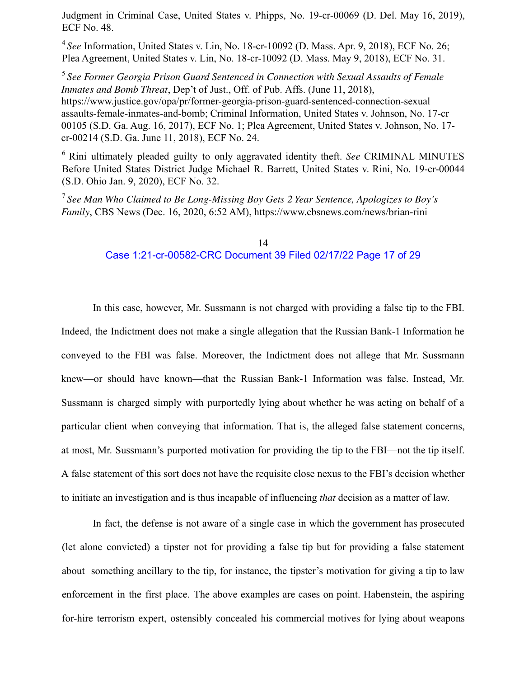Judgment in Criminal Case, United States v. Phipps, No. 19-cr-00069 (D. Del. May 16, 2019), ECF No. 48.

<sup>4</sup> *See* Information, United States v. Lin, No. 18-cr-10092 (D. Mass. Apr. 9, 2018), ECF No. 26; Plea Agreement, United States v. Lin, No. 18-cr-10092 (D. Mass. May 9, 2018), ECF No. 31.

<sup>5</sup> *See Former Georgia Prison Guard Sentenced in Connection with Sexual Assaults of Female Inmates and Bomb Threat*, Dep't of Just., Off. of Pub. Affs. (June 11, 2018), https://www.justice.gov/opa/pr/former-georgia-prison-guard-sentenced-connection-sexual assaults-female-inmates-and-bomb; Criminal Information, United States v. Johnson, No. 17-cr 00105 (S.D. Ga. Aug. 16, 2017), ECF No. 1; Plea Agreement, United States v. Johnson, No. 17 cr-00214 (S.D. Ga. June 11, 2018), ECF No. 24.

<sup>6</sup> Rini ultimately pleaded guilty to only aggravated identity theft. *See* CRIMINAL MINUTES Before United States District Judge Michael R. Barrett, United States v. Rini, No. 19-cr-00044 (S.D. Ohio Jan. 9, 2020), ECF No. 32.

<sup>7</sup> *See Man Who Claimed to Be Long-Missing Boy Gets 2 Year Sentence, Apologizes to Boy's Family*, CBS News (Dec. 16, 2020, 6:52 AM), https://www.cbsnews.com/news/brian-rini

#### 14 Case 1:21-cr-00582-CRC Document 39 Filed 02/17/22 Page 17 of 29

In this case, however, Mr. Sussmann is not charged with providing a false tip to the FBI. Indeed, the Indictment does not make a single allegation that the Russian Bank-1 Information he conveyed to the FBI was false. Moreover, the Indictment does not allege that Mr. Sussmann knew—or should have known—that the Russian Bank-1 Information was false. Instead, Mr. Sussmann is charged simply with purportedly lying about whether he was acting on behalf of a particular client when conveying that information. That is, the alleged false statement concerns, at most, Mr. Sussmann's purported motivation for providing the tip to the FBI—not the tip itself. A false statement of this sort does not have the requisite close nexus to the FBI's decision whether to initiate an investigation and is thus incapable of influencing *that* decision as a matter of law.

In fact, the defense is not aware of a single case in which the government has prosecuted (let alone convicted) a tipster not for providing a false tip but for providing a false statement about something ancillary to the tip, for instance, the tipster's motivation for giving a tip to law enforcement in the first place. The above examples are cases on point. Habenstein, the aspiring for-hire terrorism expert, ostensibly concealed his commercial motives for lying about weapons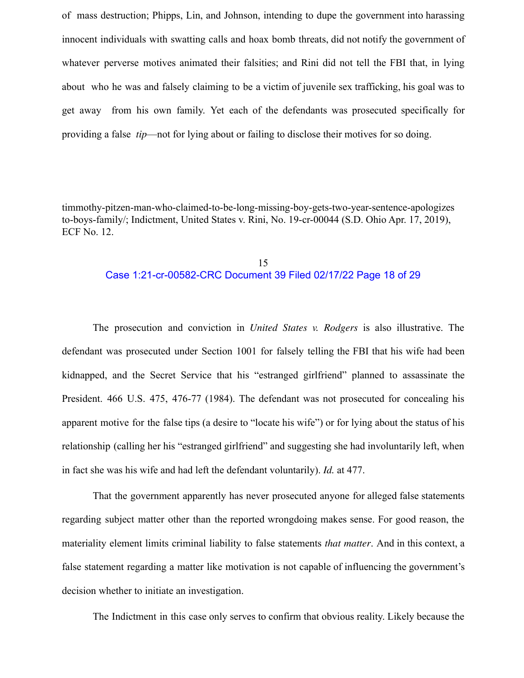of mass destruction; Phipps, Lin, and Johnson, intending to dupe the government into harassing innocent individuals with swatting calls and hoax bomb threats, did not notify the government of whatever perverse motives animated their falsities; and Rini did not tell the FBI that, in lying about who he was and falsely claiming to be a victim of juvenile sex trafficking, his goal was to get away from his own family. Yet each of the defendants was prosecuted specifically for providing a false *tip*—not for lying about or failing to disclose their motives for so doing.

timmothy-pitzen-man-who-claimed-to-be-long-missing-boy-gets-two-year-sentence-apologizes to-boys-family/; Indictment, United States v. Rini, No. 19-cr-00044 (S.D. Ohio Apr. 17, 2019), ECF No. 12.

## 15 Case 1:21-cr-00582-CRC Document 39 Filed 02/17/22 Page 18 of 29

The prosecution and conviction in *United States v. Rodgers* is also illustrative. The defendant was prosecuted under Section 1001 for falsely telling the FBI that his wife had been kidnapped, and the Secret Service that his "estranged girlfriend" planned to assassinate the President. 466 U.S. 475, 476-77 (1984). The defendant was not prosecuted for concealing his apparent motive for the false tips (a desire to "locate his wife") or for lying about the status of his relationship (calling her his "estranged girlfriend" and suggesting she had involuntarily left, when in fact she was his wife and had left the defendant voluntarily). *Id.* at 477.

That the government apparently has never prosecuted anyone for alleged false statements regarding subject matter other than the reported wrongdoing makes sense. For good reason, the materiality element limits criminal liability to false statements *that matter*. And in this context, a false statement regarding a matter like motivation is not capable of influencing the government's decision whether to initiate an investigation.

The Indictment in this case only serves to confirm that obvious reality. Likely because the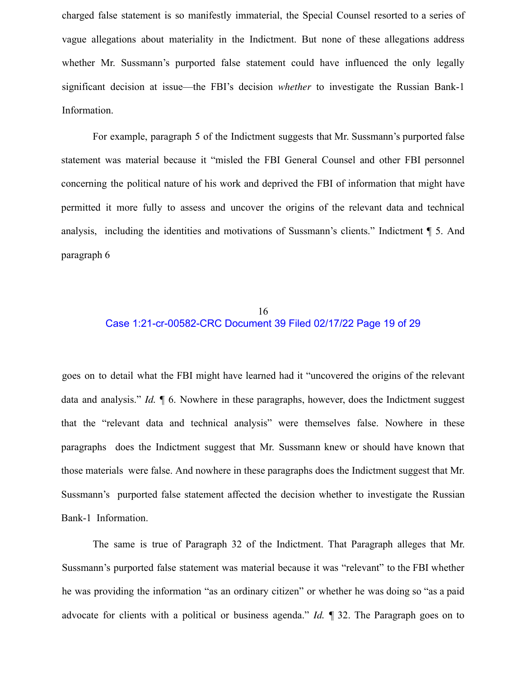charged false statement is so manifestly immaterial, the Special Counsel resorted to a series of vague allegations about materiality in the Indictment. But none of these allegations address whether Mr. Sussmann's purported false statement could have influenced the only legally significant decision at issue—the FBI's decision *whether* to investigate the Russian Bank-1 Information.

For example, paragraph 5 of the Indictment suggests that Mr. Sussmann's purported false statement was material because it "misled the FBI General Counsel and other FBI personnel concerning the political nature of his work and deprived the FBI of information that might have permitted it more fully to assess and uncover the origins of the relevant data and technical analysis, including the identities and motivations of Sussmann's clients." Indictment ¶ 5. And paragraph 6

## 16 Case 1:21-cr-00582-CRC Document 39 Filed 02/17/22 Page 19 of 29

goes on to detail what the FBI might have learned had it "uncovered the origins of the relevant data and analysis." *Id.* ¶ 6. Nowhere in these paragraphs, however, does the Indictment suggest that the "relevant data and technical analysis" were themselves false. Nowhere in these paragraphs does the Indictment suggest that Mr. Sussmann knew or should have known that those materials were false. And nowhere in these paragraphs does the Indictment suggest that Mr. Sussmann's purported false statement affected the decision whether to investigate the Russian Bank-1 Information.

The same is true of Paragraph 32 of the Indictment. That Paragraph alleges that Mr. Sussmann's purported false statement was material because it was "relevant" to the FBI whether he was providing the information "as an ordinary citizen" or whether he was doing so "as a paid advocate for clients with a political or business agenda." *Id.* ¶ 32. The Paragraph goes on to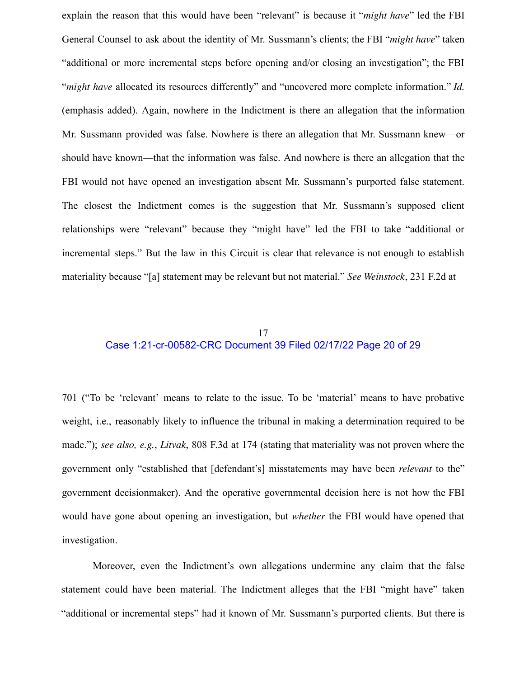explain the reason that this would have been "relevant" is because it "*might have*" led the FBI General Counsel to ask about the identity of Mr. Sussmann's clients; the FBI "*might have*" taken "additional or more incremental steps before opening and/or closing an investigation"; the FBI "*might have* allocated its resources differently" and "uncovered more complete information." *Id.* (emphasis added). Again, nowhere in the Indictment is there an allegation that the information Mr. Sussmann provided was false. Nowhere is there an allegation that Mr. Sussmann knew—or should have known—that the information was false. And nowhere is there an allegation that the FBI would not have opened an investigation absent Mr. Sussmann's purported false statement. The closest the Indictment comes is the suggestion that Mr. Sussmann's supposed client relationships were "relevant" because they "might have" led the FBI to take "additional or incremental steps." But the law in this Circuit is clear that relevance is not enough to establish materiality because "[a] statement may be relevant but not material." *See Weinstock*, 231 F.2d at

## 17 Case 1:21-cr-00582-CRC Document 39 Filed 02/17/22 Page 20 of 29

701 ("To be 'relevant' means to relate to the issue. To be 'material' means to have probative weight, i.e., reasonably likely to influence the tribunal in making a determination required to be made."); *see also, e.g.*, *Litvak*, 808 F.3d at 174 (stating that materiality was not proven where the government only "established that [defendant's] misstatements may have been *relevant* to the" government decisionmaker). And the operative governmental decision here is not how the FBI would have gone about opening an investigation, but *whether* the FBI would have opened that investigation.

Moreover, even the Indictment's own allegations undermine any claim that the false statement could have been material. The Indictment alleges that the FBI "might have" taken "additional or incremental steps" had it known of Mr. Sussmann's purported clients. But there is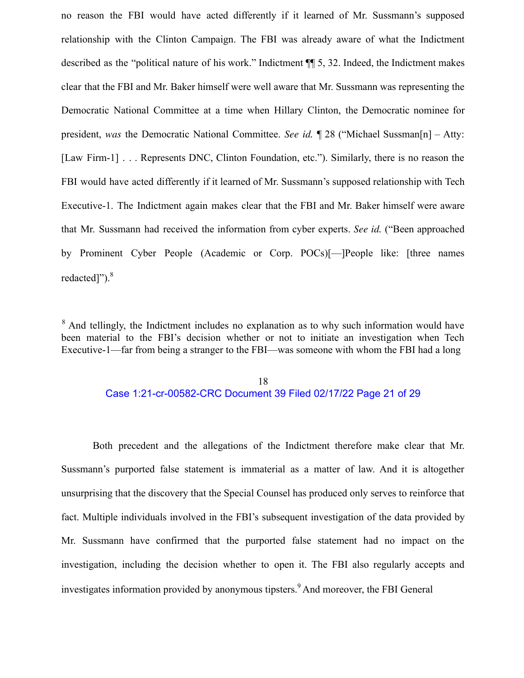no reason the FBI would have acted differently if it learned of Mr. Sussmann's supposed relationship with the Clinton Campaign. The FBI was already aware of what the Indictment described as the "political nature of his work." Indictment ¶¶ 5, 32. Indeed, the Indictment makes clear that the FBI and Mr. Baker himself were well aware that Mr. Sussmann was representing the Democratic National Committee at a time when Hillary Clinton, the Democratic nominee for president, *was* the Democratic National Committee. *See id.* ¶ 28 ("Michael Sussman[n] – Atty: [Law Firm-1] . . . Represents DNC, Clinton Foundation, etc."). Similarly, there is no reason the FBI would have acted differently if it learned of Mr. Sussmann's supposed relationship with Tech Executive-1. The Indictment again makes clear that the FBI and Mr. Baker himself were aware that Mr. Sussmann had received the information from cyber experts. *See id.* ("Been approached by Prominent Cyber People (Academic or Corp. POCs)[—]People like: [three names redacted]").<sup>8</sup>

<sup>8</sup> And tellingly, the Indictment includes no explanation as to why such information would have been material to the FBI's decision whether or not to initiate an investigation when Tech Executive-1—far from being a stranger to the FBI—was someone with whom the FBI had a long

#### 18 Case 1:21-cr-00582-CRC Document 39 Filed 02/17/22 Page 21 of 29

Both precedent and the allegations of the Indictment therefore make clear that Mr. Sussmann's purported false statement is immaterial as a matter of law. And it is altogether unsurprising that the discovery that the Special Counsel has produced only serves to reinforce that fact. Multiple individuals involved in the FBI's subsequent investigation of the data provided by Mr. Sussmann have confirmed that the purported false statement had no impact on the investigation, including the decision whether to open it. The FBI also regularly accepts and investigates information provided by anonymous tipsters.<sup>9</sup> And moreover, the FBI General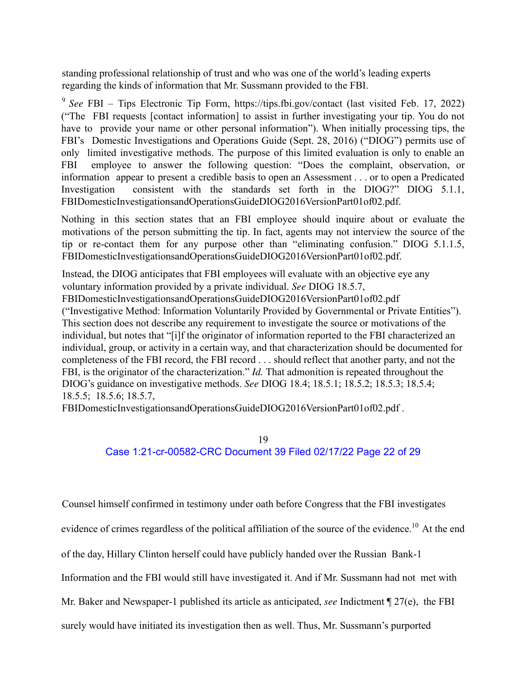standing professional relationship of trust and who was one of the world's leading experts regarding the kinds of information that Mr. Sussmann provided to the FBI.

<sup>9</sup> *See* FBI – Tips Electronic Tip Form, https://tips.fbi.gov/contact (last visited Feb. 17, 2022) ("The FBI requests [contact information] to assist in further investigating your tip. You do not have to provide your name or other personal information"). When initially processing tips, the FBI's Domestic Investigations and Operations Guide (Sept. 28, 2016) ("DIOG") permits use of only limited investigative methods. The purpose of this limited evaluation is only to enable an FBI employee to answer the following question: "Does the complaint, observation, or information appear to present a credible basis to open an Assessment . . . or to open a Predicated Investigation consistent with the standards set forth in the DIOG?" DIOG 5.1.1, FBIDomesticInvestigationsandOperationsGuideDIOG2016VersionPart01of02.pdf.

Nothing in this section states that an FBI employee should inquire about or evaluate the motivations of the person submitting the tip. In fact, agents may not interview the source of the tip or re-contact them for any purpose other than "eliminating confusion." DIOG 5.1.1.5, FBIDomesticInvestigationsandOperationsGuideDIOG2016VersionPart01of02.pdf.

Instead, the DIOG anticipates that FBI employees will evaluate with an objective eye any voluntary information provided by a private individual. *See* DIOG 18.5.7, FBIDomesticInvestigationsandOperationsGuideDIOG2016VersionPart01of02.pdf ("Investigative Method: Information Voluntarily Provided by Governmental or Private Entities"). This section does not describe any requirement to investigate the source or motivations of the individual, but notes that "[i]f the originator of information reported to the FBI characterized an individual, group, or activity in a certain way, and that characterization should be documented for completeness of the FBI record, the FBI record . . . should reflect that another party, and not the FBI, is the originator of the characterization." *Id.* That admonition is repeated throughout the DIOG's guidance on investigative methods. *See* DIOG 18.4; 18.5.1; 18.5.2; 18.5.3; 18.5.4; 18.5.5; 18.5.6; 18.5.7,

FBIDomesticInvestigationsandOperationsGuideDIOG2016VersionPart01of02.pdf .

# 19 Case 1:21-cr-00582-CRC Document 39 Filed 02/17/22 Page 22 of 29

Counsel himself confirmed in testimony under oath before Congress that the FBI investigates evidence of crimes regardless of the political affiliation of the source of the evidence.<sup>10</sup> At the end of the day, Hillary Clinton herself could have publicly handed over the Russian Bank-1 Information and the FBI would still have investigated it. And if Mr. Sussmann had not met with Mr. Baker and Newspaper-1 published its article as anticipated, *see* Indictment ¶ 27(e), the FBI surely would have initiated its investigation then as well. Thus, Mr. Sussmann's purported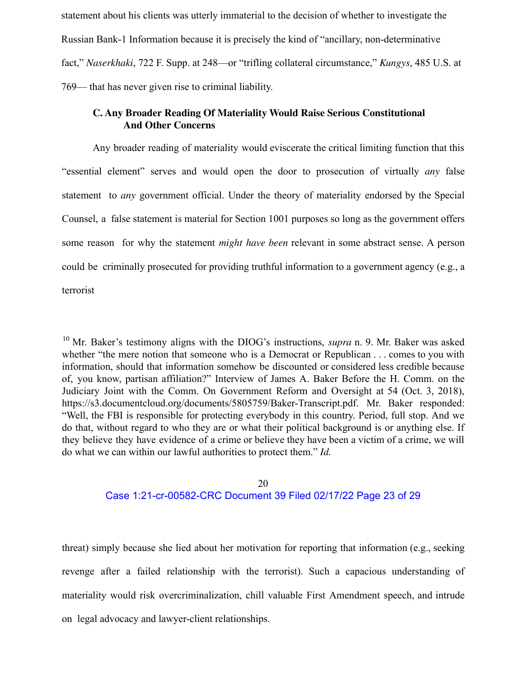statement about his clients was utterly immaterial to the decision of whether to investigate the Russian Bank-1 Information because it is precisely the kind of "ancillary, non-determinative fact," *Naserkhaki*, 722 F. Supp. at 248—or "trifling collateral circumstance," *Kungys*, 485 U.S. at 769— that has never given rise to criminal liability.

## **C. Any Broader Reading Of Materiality Would Raise Serious Constitutional And Other Concerns**

Any broader reading of materiality would eviscerate the critical limiting function that this "essential element" serves and would open the door to prosecution of virtually *any* false statement to *any* government official. Under the theory of materiality endorsed by the Special Counsel, a false statement is material for Section 1001 purposes so long as the government offers some reason for why the statement *might have been* relevant in some abstract sense. A person could be criminally prosecuted for providing truthful information to a government agency (e.g., a terrorist

<sup>10</sup> Mr. Baker's testimony aligns with the DIOG's instructions, *supra* n. 9. Mr. Baker was asked whether "the mere notion that someone who is a Democrat or Republican . . . comes to you with information, should that information somehow be discounted or considered less credible because of, you know, partisan affiliation?" Interview of James A. Baker Before the H. Comm. on the Judiciary Joint with the Comm. On Government Reform and Oversight at 54 (Oct. 3, 2018), https://s3.documentcloud.org/documents/5805759/Baker-Transcript.pdf. Mr. Baker responded: "Well, the FBI is responsible for protecting everybody in this country. Period, full stop. And we do that, without regard to who they are or what their political background is or anything else. If they believe they have evidence of a crime or believe they have been a victim of a crime, we will do what we can within our lawful authorities to protect them." *Id.*

#### 20 Case 1:21-cr-00582-CRC Document 39 Filed 02/17/22 Page 23 of 29

threat) simply because she lied about her motivation for reporting that information (e.g., seeking revenge after a failed relationship with the terrorist). Such a capacious understanding of materiality would risk overcriminalization, chill valuable First Amendment speech, and intrude on legal advocacy and lawyer-client relationships.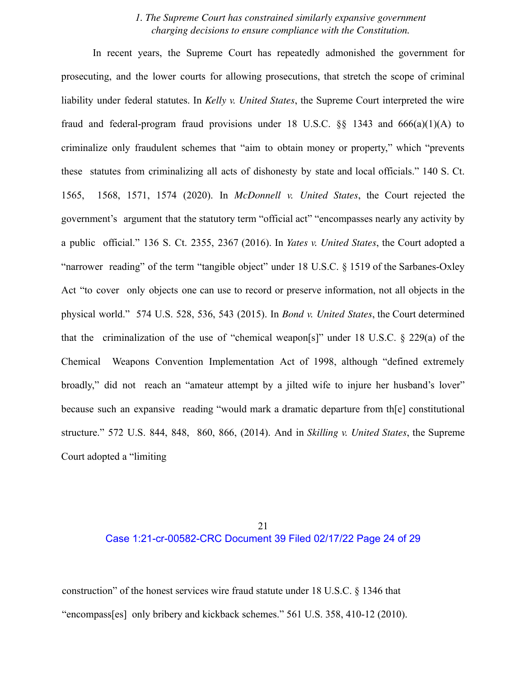#### *1. The Supreme Court has constrained similarly expansive government charging decisions to ensure compliance with the Constitution.*

In recent years, the Supreme Court has repeatedly admonished the government for prosecuting, and the lower courts for allowing prosecutions, that stretch the scope of criminal liability under federal statutes. In *Kelly v. United States*, the Supreme Court interpreted the wire fraud and federal-program fraud provisions under 18 U.S.C.  $\&$  1343 and 666(a)(1)(A) to criminalize only fraudulent schemes that "aim to obtain money or property," which "prevents these statutes from criminalizing all acts of dishonesty by state and local officials." 140 S. Ct. 1565, 1568, 1571, 1574 (2020). In *McDonnell v. United States*, the Court rejected the government's argument that the statutory term "official act" "encompasses nearly any activity by a public official." 136 S. Ct. 2355, 2367 (2016). In *Yates v. United States*, the Court adopted a "narrower reading" of the term "tangible object" under 18 U.S.C. § 1519 of the Sarbanes-Oxley Act "to cover only objects one can use to record or preserve information, not all objects in the physical world." 574 U.S. 528, 536, 543 (2015). In *Bond v. United States*, the Court determined that the criminalization of the use of "chemical weapon[s]" under 18 U.S.C. § 229(a) of the Chemical Weapons Convention Implementation Act of 1998, although "defined extremely broadly," did not reach an "amateur attempt by a jilted wife to injure her husband's lover" because such an expansive reading "would mark a dramatic departure from th[e] constitutional structure." 572 U.S. 844, 848, 860, 866, (2014). And in *Skilling v. United States*, the Supreme Court adopted a "limiting

### 21 Case 1:21-cr-00582-CRC Document 39 Filed 02/17/22 Page 24 of 29

construction" of the honest services wire fraud statute under 18 U.S.C. § 1346 that "encompass[es] only bribery and kickback schemes." 561 U.S. 358, 410-12 (2010).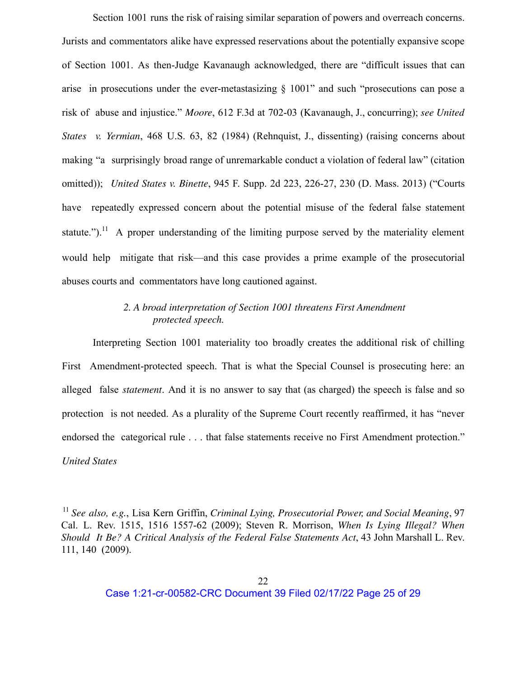Section 1001 runs the risk of raising similar separation of powers and overreach concerns. Jurists and commentators alike have expressed reservations about the potentially expansive scope of Section 1001. As then-Judge Kavanaugh acknowledged, there are "difficult issues that can arise in prosecutions under the ever-metastasizing § 1001" and such "prosecutions can pose a risk of abuse and injustice." *Moore*, 612 F.3d at 702-03 (Kavanaugh, J., concurring); *see United States v. Yermian*, 468 U.S. 63, 82 (1984) (Rehnquist, J., dissenting) (raising concerns about making "a surprisingly broad range of unremarkable conduct a violation of federal law" (citation omitted)); *United States v. Binette*, 945 F. Supp. 2d 223, 226-27, 230 (D. Mass. 2013) ("Courts have repeatedly expressed concern about the potential misuse of the federal false statement statute.").<sup>11</sup> A proper understanding of the limiting purpose served by the materiality element would help mitigate that risk—and this case provides a prime example of the prosecutorial abuses courts and commentators have long cautioned against.

## *2. A broad interpretation of Section 1001 threatens First Amendment protected speech.*

Interpreting Section 1001 materiality too broadly creates the additional risk of chilling First Amendment-protected speech. That is what the Special Counsel is prosecuting here: an alleged false *statement*. And it is no answer to say that (as charged) the speech is false and so protection is not needed. As a plurality of the Supreme Court recently reaffirmed, it has "never endorsed the categorical rule . . . that false statements receive no First Amendment protection." *United States*

<sup>11</sup> *See also, e.g.*, Lisa Kern Griffin, *Criminal Lying, Prosecutorial Power, and Social Meaning*, 97 Cal. L. Rev. 1515, 1516 1557-62 (2009); Steven R. Morrison, *When Is Lying Illegal? When Should It Be? A Critical Analysis of the Federal False Statements Act*, 43 John Marshall L. Rev. 111, 140 (2009).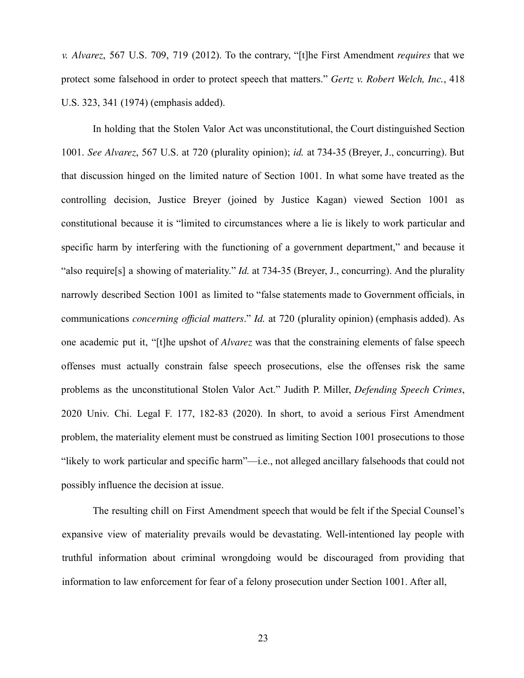*v. Alvarez*, 567 U.S. 709, 719 (2012). To the contrary, "[t]he First Amendment *requires* that we protect some falsehood in order to protect speech that matters." *Gertz v. Robert Welch, Inc.*, 418 U.S. 323, 341 (1974) (emphasis added).

In holding that the Stolen Valor Act was unconstitutional, the Court distinguished Section 1001. *See Alvarez*, 567 U.S. at 720 (plurality opinion); *id.* at 734-35 (Breyer, J., concurring). But that discussion hinged on the limited nature of Section 1001. In what some have treated as the controlling decision, Justice Breyer (joined by Justice Kagan) viewed Section 1001 as constitutional because it is "limited to circumstances where a lie is likely to work particular and specific harm by interfering with the functioning of a government department," and because it "also require[s] a showing of materiality." *Id.* at 734-35 (Breyer, J., concurring). And the plurality narrowly described Section 1001 as limited to "false statements made to Government officials, in communications *concerning official matters*." *Id.* at 720 (plurality opinion) (emphasis added). As one academic put it, "[t]he upshot of *Alvarez* was that the constraining elements of false speech offenses must actually constrain false speech prosecutions, else the offenses risk the same problems as the unconstitutional Stolen Valor Act." Judith P. Miller, *Defending Speech Crimes*, 2020 Univ. Chi. Legal F. 177, 182-83 (2020). In short, to avoid a serious First Amendment problem, the materiality element must be construed as limiting Section 1001 prosecutions to those "likely to work particular and specific harm"—i.e., not alleged ancillary falsehoods that could not possibly influence the decision at issue.

The resulting chill on First Amendment speech that would be felt if the Special Counsel's expansive view of materiality prevails would be devastating. Well-intentioned lay people with truthful information about criminal wrongdoing would be discouraged from providing that information to law enforcement for fear of a felony prosecution under Section 1001. After all,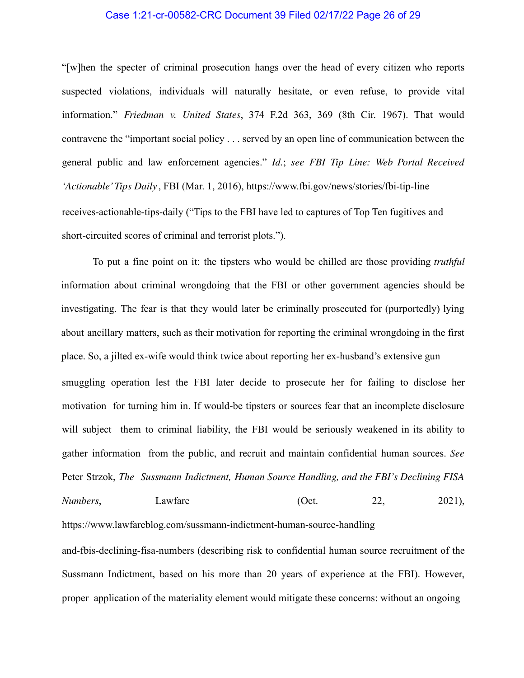#### Case 1:21-cr-00582-CRC Document 39 Filed 02/17/22 Page 26 of 29

"[w]hen the specter of criminal prosecution hangs over the head of every citizen who reports suspected violations, individuals will naturally hesitate, or even refuse, to provide vital information." *Friedman v. United States*, 374 F.2d 363, 369 (8th Cir. 1967). That would contravene the "important social policy . . . served by an open line of communication between the general public and law enforcement agencies." *Id.*; *see FBI Tip Line: Web Portal Received 'Actionable'Tips Daily* , FBI (Mar. 1, 2016), https://www.fbi.gov/news/stories/fbi-tip-line receives-actionable-tips-daily ("Tips to the FBI have led to captures of Top Ten fugitives and short-circuited scores of criminal and terrorist plots.").

To put a fine point on it: the tipsters who would be chilled are those providing *truthful* information about criminal wrongdoing that the FBI or other government agencies should be investigating. The fear is that they would later be criminally prosecuted for (purportedly) lying about ancillary matters, such as their motivation for reporting the criminal wrongdoing in the first place. So, a jilted ex-wife would think twice about reporting her ex-husband's extensive gun smuggling operation lest the FBI later decide to prosecute her for failing to disclose her motivation for turning him in. If would-be tipsters or sources fear that an incomplete disclosure will subject them to criminal liability, the FBI would be seriously weakened in its ability to gather information from the public, and recruit and maintain confidential human sources. *See* Peter Strzok, *The Sussmann Indictment, Human Source Handling, and the FBI's Declining FISA Numbers*, **Lawfare Lawfare** (Oct. 22, 2021),

https://www.lawfareblog.com/sussmann-indictment-human-source-handling

and-fbis-declining-fisa-numbers (describing risk to confidential human source recruitment of the Sussmann Indictment, based on his more than 20 years of experience at the FBI). However, proper application of the materiality element would mitigate these concerns: without an ongoing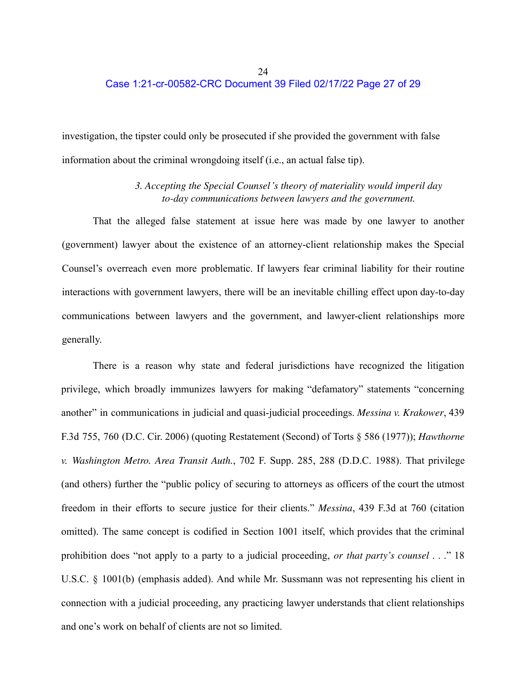# Case 1:21-cr-00582-CRC Document 39 Filed 02/17/22 Page 27 of 29

investigation, the tipster could only be prosecuted if she provided the government with false information about the criminal wrongdoing itself (i.e., an actual false tip).

## *3. Accepting the Special Counsel's theory of materiality would imperil day to-day communications between lawyers and the government.*

That the alleged false statement at issue here was made by one lawyer to another (government) lawyer about the existence of an attorney-client relationship makes the Special Counsel's overreach even more problematic. If lawyers fear criminal liability for their routine interactions with government lawyers, there will be an inevitable chilling effect upon day-to-day communications between lawyers and the government, and lawyer-client relationships more generally.

There is a reason why state and federal jurisdictions have recognized the litigation privilege, which broadly immunizes lawyers for making "defamatory" statements "concerning another" in communications in judicial and quasi-judicial proceedings. *Messina v. Krakower*, 439 F.3d 755, 760 (D.C. Cir. 2006) (quoting Restatement (Second) of Torts § 586 (1977)); *Hawthorne v. Washington Metro. Area Transit Auth.*, 702 F. Supp. 285, 288 (D.D.C. 1988). That privilege (and others) further the "public policy of securing to attorneys as officers of the court the utmost freedom in their efforts to secure justice for their clients." *Messina*, 439 F.3d at 760 (citation omitted). The same concept is codified in Section 1001 itself, which provides that the criminal prohibition does "not apply to a party to a judicial proceeding, *or that party's counsel* . . ." 18 U.S.C. § 1001(b) (emphasis added). And while Mr. Sussmann was not representing his client in connection with a judicial proceeding, any practicing lawyer understands that client relationships and one's work on behalf of clients are not so limited.

24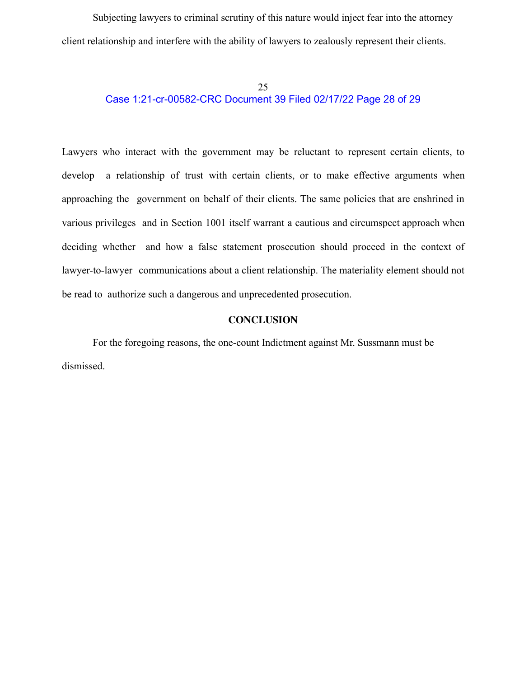Subjecting lawyers to criminal scrutiny of this nature would inject fear into the attorney client relationship and interfere with the ability of lawyers to zealously represent their clients.

# 25 Case 1:21-cr-00582-CRC Document 39 Filed 02/17/22 Page 28 of 29

Lawyers who interact with the government may be reluctant to represent certain clients, to develop a relationship of trust with certain clients, or to make effective arguments when approaching the government on behalf of their clients. The same policies that are enshrined in various privileges and in Section 1001 itself warrant a cautious and circumspect approach when deciding whether and how a false statement prosecution should proceed in the context of lawyer-to-lawyer communications about a client relationship. The materiality element should not be read to authorize such a dangerous and unprecedented prosecution.

#### **CONCLUSION**

For the foregoing reasons, the one-count Indictment against Mr. Sussmann must be dismissed.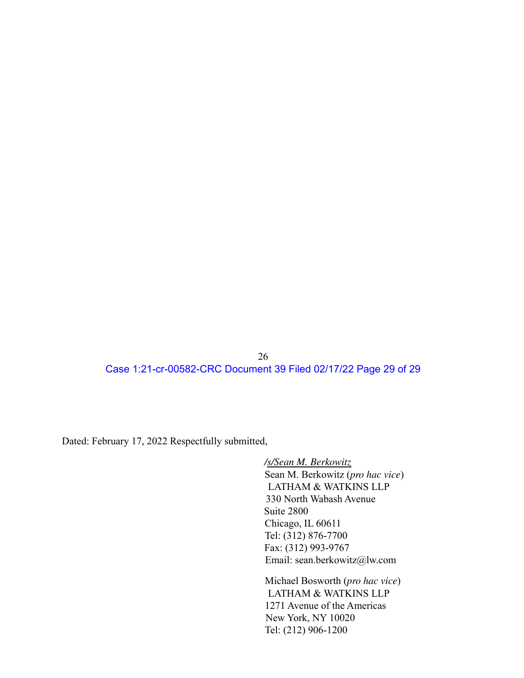26 Case 1:21-cr-00582-CRC Document 39 Filed 02/17/22 Page 29 of 29

Dated: February 17, 2022 Respectfully submitted,

*/s/Sean M. Berkowitz* Sean M. Berkowitz (*pro hac vice*) LATHAM & WATKINS LLP 330 North Wabash Avenue Suite 2800 Chicago, IL 60611 Tel: (312) 876-7700 Fax: (312) 993-9767 Email: sean.berkowitz@lw.com

Michael Bosworth (*pro hac vice*) LATHAM & WATKINS LLP 1271 Avenue of the Americas New York, NY 10020 Tel: (212) 906-1200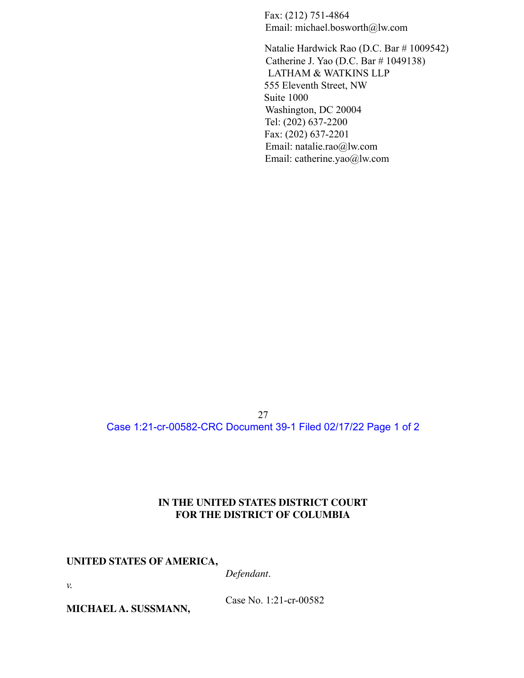Fax: (212) 751-4864 Email: michael.bosworth@lw.com

Natalie Hardwick Rao (D.C. Bar # 1009542) Catherine J. Yao (D.C. Bar # 1049138) LATHAM & WATKINS LLP 555 Eleventh Street, NW Suite 1000 Washington, DC 20004 Tel: (202) 637-2200 Fax: (202) 637-2201 Email: natalie.rao@lw.com Email: catherine.yao@lw.com

27 Case 1:21-cr-00582-CRC Document 39-1 Filed 02/17/22 Page 1 of 2

## **IN THE UNITED STATES DISTRICT COURT FOR THE DISTRICT OF COLUMBIA**

#### **UNITED STATES OF AMERICA,**

*Defendant*.

*v.*

**MICHAEL A. SUSSMANN,**

Case No. 1:21-cr-00582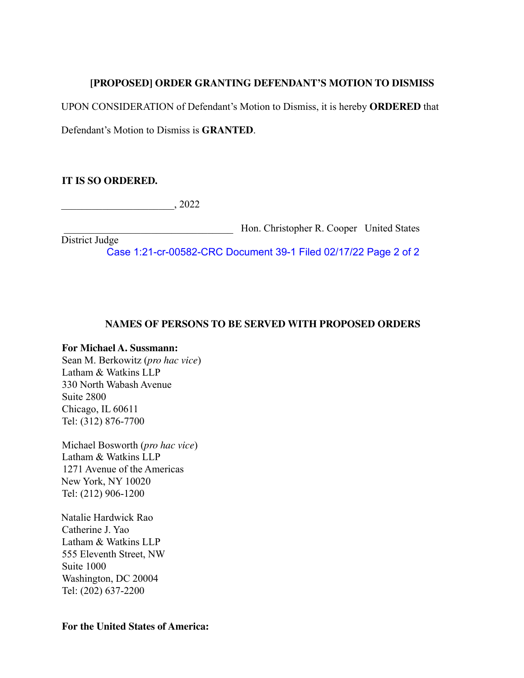# **[PROPOSED] ORDER GRANTING DEFENDANT'S MOTION TO DISMISS**

UPON CONSIDERATION of Defendant's Motion to Dismiss, it is hereby **ORDERED** that

Defendant's Motion to Dismiss is **GRANTED**.

# **IT IS SO ORDERED.**

 $, 2022$ 

\_\_\_\_\_\_\_\_\_\_\_\_\_\_\_\_\_\_\_\_\_\_\_\_\_\_\_\_\_\_\_\_\_ Hon. Christopher R. Cooper United States

District Judge Case 1:21-cr-00582-CRC Document 39-1 Filed 02/17/22 Page 2 of 2

## **NAMES OF PERSONS TO BE SERVED WITH PROPOSED ORDERS**

# **For Michael A. Sussmann:**

Sean M. Berkowitz (*pro hac vice*) Latham & Watkins LLP 330 North Wabash Avenue Suite 2800 Chicago, IL 60611 Tel: (312) 876-7700

Michael Bosworth (*pro hac vice*) Latham & Watkins LLP 1271 Avenue of the Americas New York, NY 10020 Tel: (212) 906-1200

Natalie Hardwick Rao Catherine J. Yao Latham & Watkins LLP 555 Eleventh Street, NW Suite 1000 Washington, DC 20004 Tel: (202) 637-2200

## **For the United States of America:**